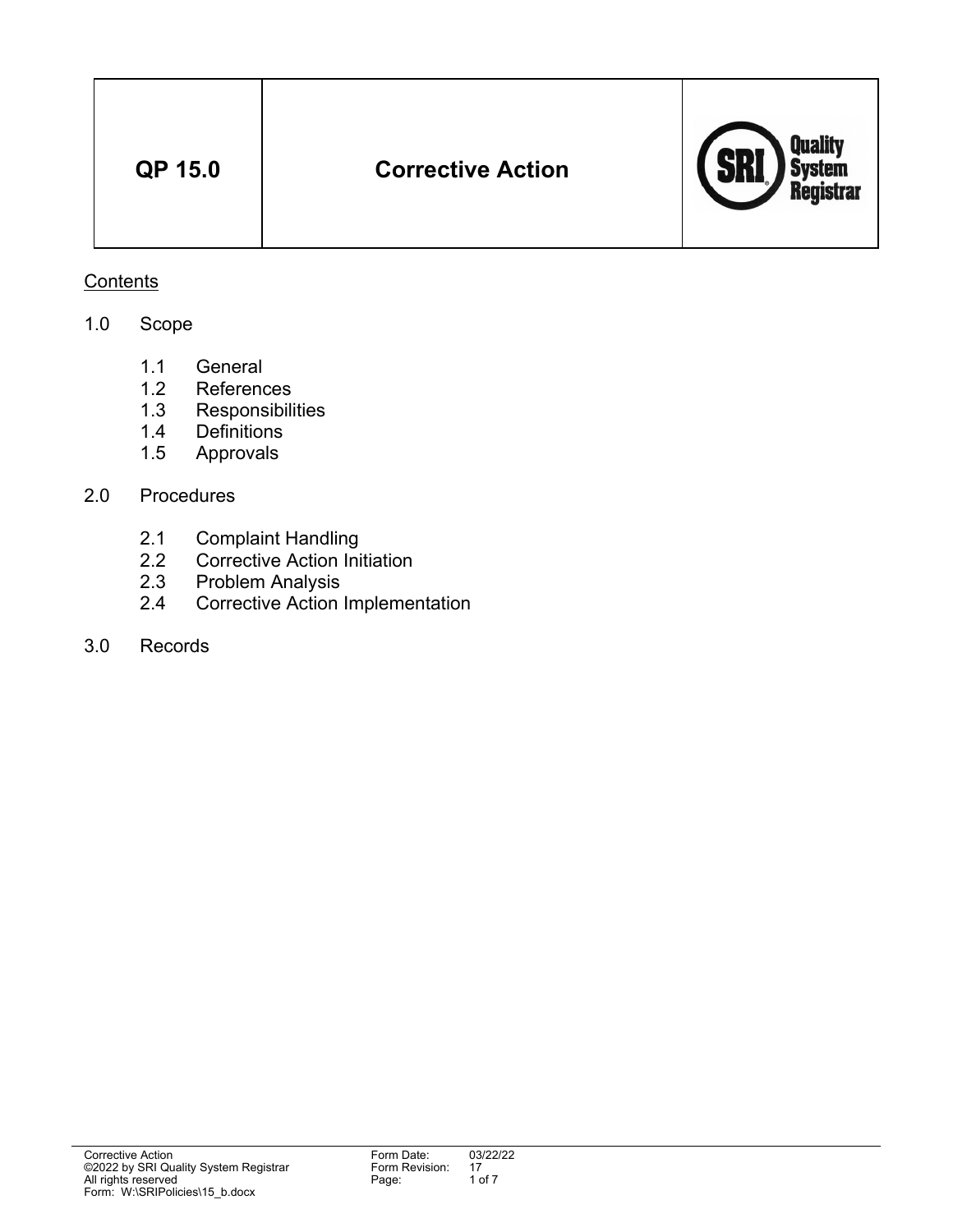| <b>QP 15.0</b> | <b>Corrective Action</b> | Quality<br>System<br>Registrar<br><i>l</i> edi |
|----------------|--------------------------|------------------------------------------------|
|----------------|--------------------------|------------------------------------------------|

# **Contents**

# 1.0 Scope

- 1.1 General
- 1.2 References
- 1.3 Responsibilities<br>1.4 Definitions
- Definitions
- 1.5 Approvals

# 2.0 Procedures

- 2.1 Complaint Handling
- 2.2 Corrective Action Initiation
- 2.3 Problem Analysis
- 2.4 Corrective Action Implementation
- 3.0 Records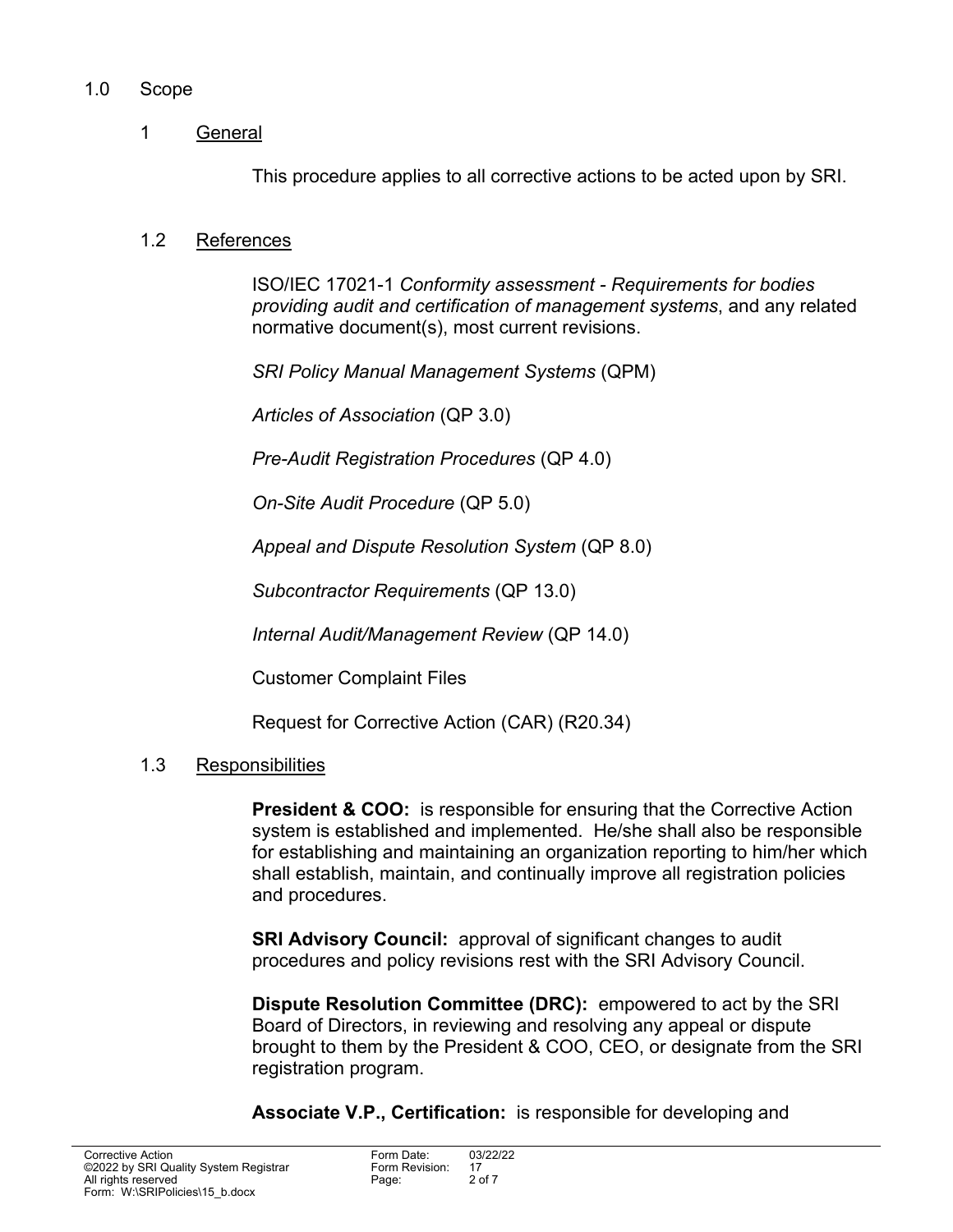# 1.0 Scope

# 1 General

This procedure applies to all corrective actions to be acted upon by SRI.

### 1.2 References

 ISO/IEC 17021-1 *Conformity assessment - Requirements for bodies providing audit and certification of management systems*, and any related normative document(s), most current revisions.

*SRI Policy Manual Management Systems* (QPM)

*Articles of Association* (QP 3.0)

*Pre-Audit Registration Procedures* (QP 4.0)

*On-Site Audit Procedure* (QP 5.0)

*Appeal and Dispute Resolution System* (QP 8.0)

*Subcontractor Requirements* (QP 13.0)

*Internal Audit/Management Review* (QP 14.0)

Customer Complaint Files

Request for Corrective Action (CAR) (R20.34)

#### 1.3 Responsibilities

**President & COO:** is responsible for ensuring that the Corrective Action system is established and implemented. He/she shall also be responsible for establishing and maintaining an organization reporting to him/her which shall establish, maintain, and continually improve all registration policies and procedures.

**SRI Advisory Council:** approval of significant changes to audit procedures and policy revisions rest with the SRI Advisory Council.

**Dispute Resolution Committee (DRC):** empowered to act by the SRI Board of Directors, in reviewing and resolving any appeal or dispute brought to them by the President & COO, CEO, or designate from the SRI registration program.

**Associate V.P., Certification:** is responsible for developing and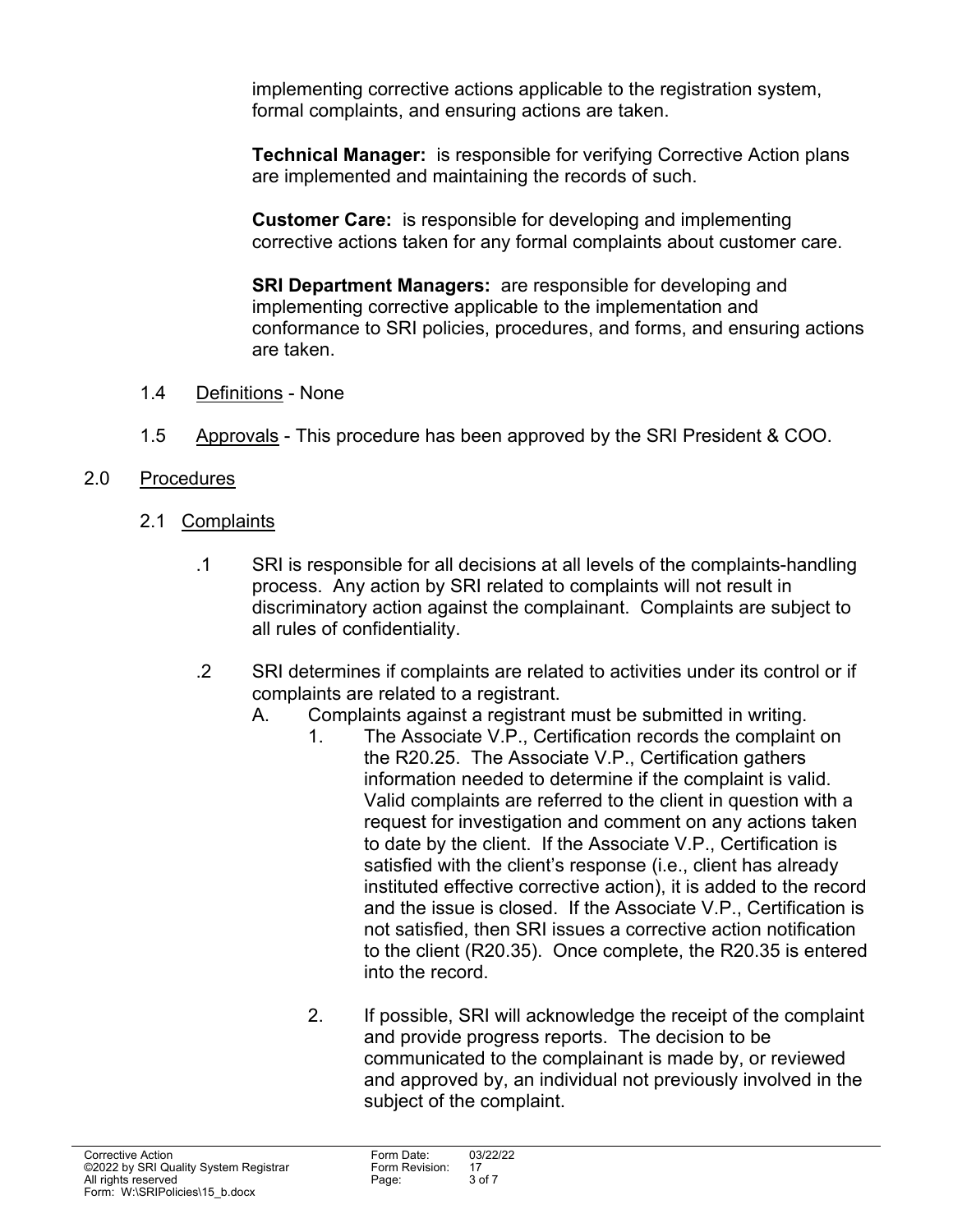implementing corrective actions applicable to the registration system, formal complaints, and ensuring actions are taken.

**Technical Manager:** is responsible for verifying Corrective Action plans are implemented and maintaining the records of such.

**Customer Care:** is responsible for developing and implementing corrective actions taken for any formal complaints about customer care.

**SRI Department Managers:** are responsible for developing and implementing corrective applicable to the implementation and conformance to SRI policies, procedures, and forms, and ensuring actions are taken.

- 1.4 Definitions None
- 1.5 Approvals This procedure has been approved by the SRI President & COO.

# 2.0 Procedures

- 2.1 Complaints
	- .1 SRI is responsible for all decisions at all levels of the complaints-handling process. Any action by SRI related to complaints will not result in discriminatory action against the complainant. Complaints are subject to all rules of confidentiality.
	- .2 SRI determines if complaints are related to activities under its control or if complaints are related to a registrant.
		- A. Complaints against a registrant must be submitted in writing.
			- 1. The Associate V.P., Certification records the complaint on the R20.25. The Associate V.P., Certification gathers information needed to determine if the complaint is valid. Valid complaints are referred to the client in question with a request for investigation and comment on any actions taken to date by the client. If the Associate V.P., Certification is satisfied with the client's response (i.e., client has already instituted effective corrective action), it is added to the record and the issue is closed. If the Associate V.P., Certification is not satisfied, then SRI issues a corrective action notification to the client (R20.35). Once complete, the R20.35 is entered into the record.
			- 2. If possible, SRI will acknowledge the receipt of the complaint and provide progress reports. The decision to be communicated to the complainant is made by, or reviewed and approved by, an individual not previously involved in the subject of the complaint.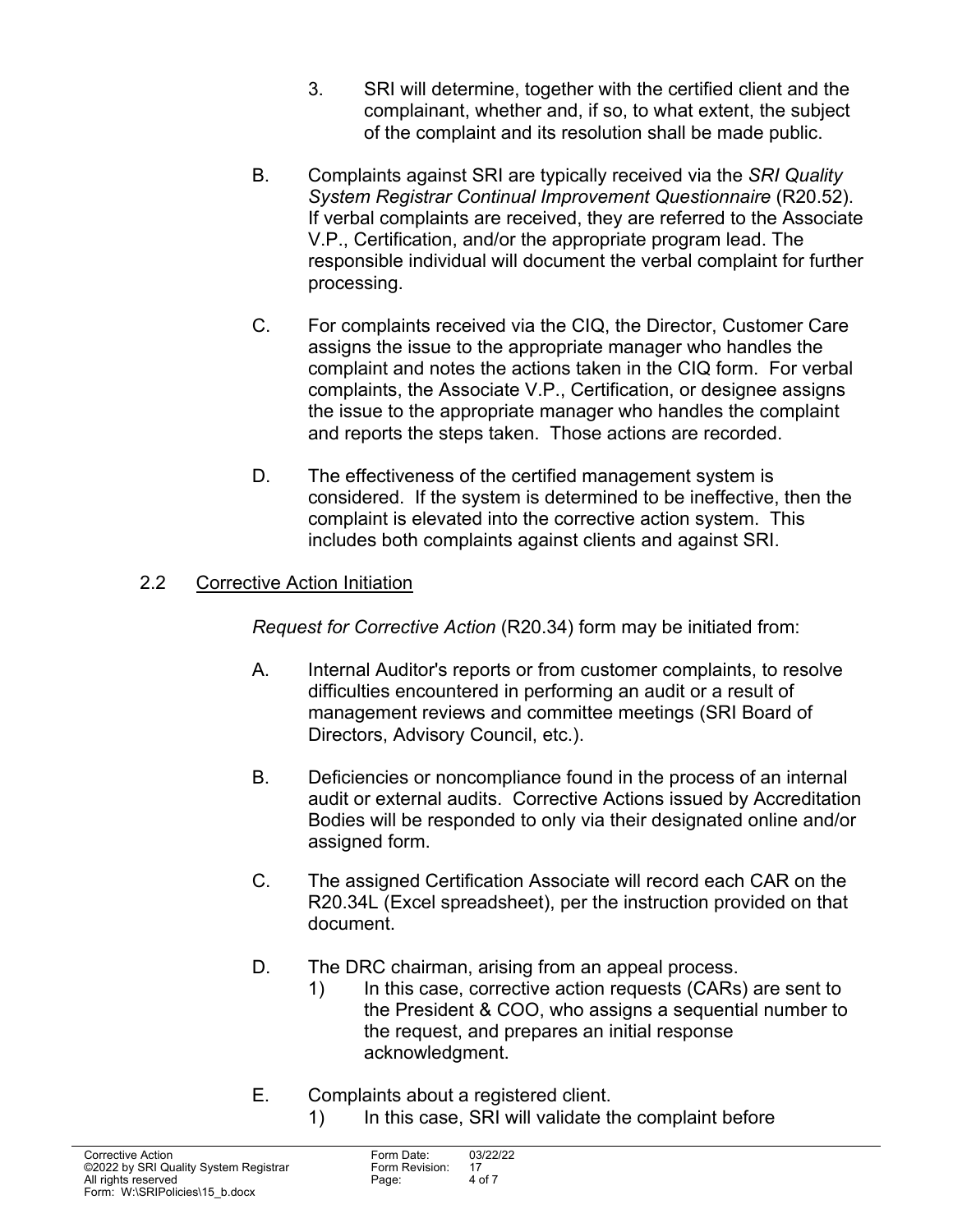- 3. SRI will determine, together with the certified client and the complainant, whether and, if so, to what extent, the subject of the complaint and its resolution shall be made public.
- B. Complaints against SRI are typically received via the *SRI Quality System Registrar Continual Improvement Questionnaire* (R20.52). If verbal complaints are received, they are referred to the Associate V.P., Certification, and/or the appropriate program lead. The responsible individual will document the verbal complaint for further processing.
- C. For complaints received via the CIQ, the Director, Customer Care assigns the issue to the appropriate manager who handles the complaint and notes the actions taken in the CIQ form. For verbal complaints, the Associate V.P., Certification, or designee assigns the issue to the appropriate manager who handles the complaint and reports the steps taken. Those actions are recorded.
- D. The effectiveness of the certified management system is considered. If the system is determined to be ineffective, then the complaint is elevated into the corrective action system. This includes both complaints against clients and against SRI.

# 2.2 Corrective Action Initiation

*Request for Corrective Action* (R20.34) form may be initiated from:

- A. Internal Auditor's reports or from customer complaints, to resolve difficulties encountered in performing an audit or a result of management reviews and committee meetings (SRI Board of Directors, Advisory Council, etc.).
- B. Deficiencies or noncompliance found in the process of an internal audit or external audits. Corrective Actions issued by Accreditation Bodies will be responded to only via their designated online and/or assigned form.
- C. The assigned Certification Associate will record each CAR on the R20.34L (Excel spreadsheet), per the instruction provided on that document.
- D. The DRC chairman, arising from an appeal process.
	- 1) In this case, corrective action requests (CARs) are sent to the President & COO, who assigns a sequential number to the request, and prepares an initial response acknowledgment.
- E. Complaints about a registered client.
	- 1) In this case, SRI will validate the complaint before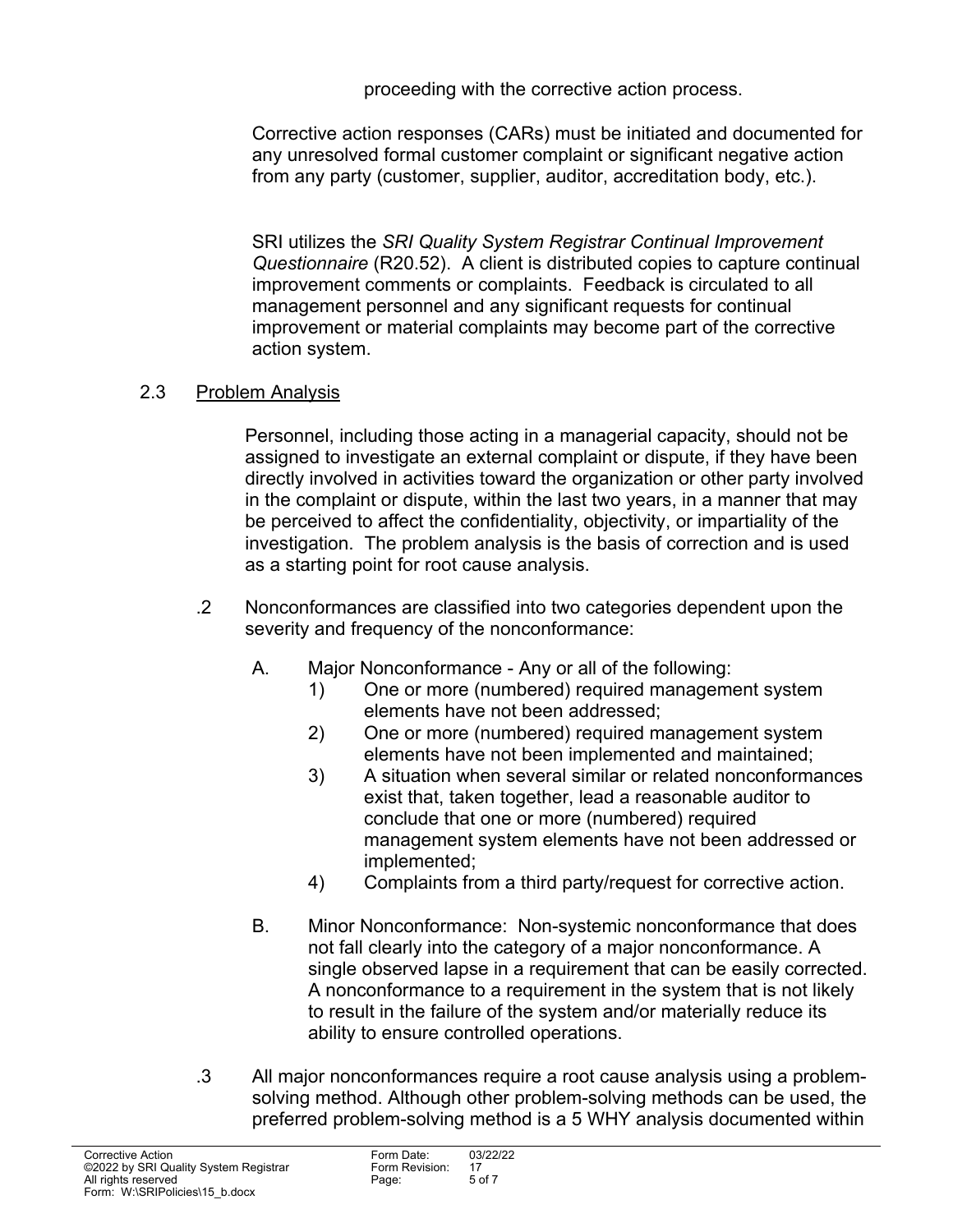proceeding with the corrective action process.

 Corrective action responses (CARs) must be initiated and documented for any unresolved formal customer complaint or significant negative action from any party (customer, supplier, auditor, accreditation body, etc.).

 SRI utilizes the *SRI Quality System Registrar Continual Improvement Questionnaire* (R20.52). A client is distributed copies to capture continual improvement comments or complaints. Feedback is circulated to all management personnel and any significant requests for continual improvement or material complaints may become part of the corrective action system.

# 2.3 Problem Analysis

 Personnel, including those acting in a managerial capacity, should not be assigned to investigate an external complaint or dispute, if they have been directly involved in activities toward the organization or other party involved in the complaint or dispute, within the last two years, in a manner that may be perceived to affect the confidentiality, objectivity, or impartiality of the investigation. The problem analysis is the basis of correction and is used as a starting point for root cause analysis.

- .2 Nonconformances are classified into two categories dependent upon the severity and frequency of the nonconformance:
	- A. Major Nonconformance Any or all of the following:
		- 1) One or more (numbered) required management system elements have not been addressed;
		- 2) One or more (numbered) required management system elements have not been implemented and maintained;
		- 3) A situation when several similar or related nonconformances exist that, taken together, lead a reasonable auditor to conclude that one or more (numbered) required management system elements have not been addressed or implemented;
		- 4) Complaints from a third party/request for corrective action.
	- B. Minor Nonconformance: Non-systemic nonconformance that does not fall clearly into the category of a major nonconformance. A single observed lapse in a requirement that can be easily corrected. A nonconformance to a requirement in the system that is not likely to result in the failure of the system and/or materially reduce its ability to ensure controlled operations.
- .3 All major nonconformances require a root cause analysis using a problemsolving method. Although other problem-solving methods can be used, the preferred problem-solving method is a 5 WHY analysis documented within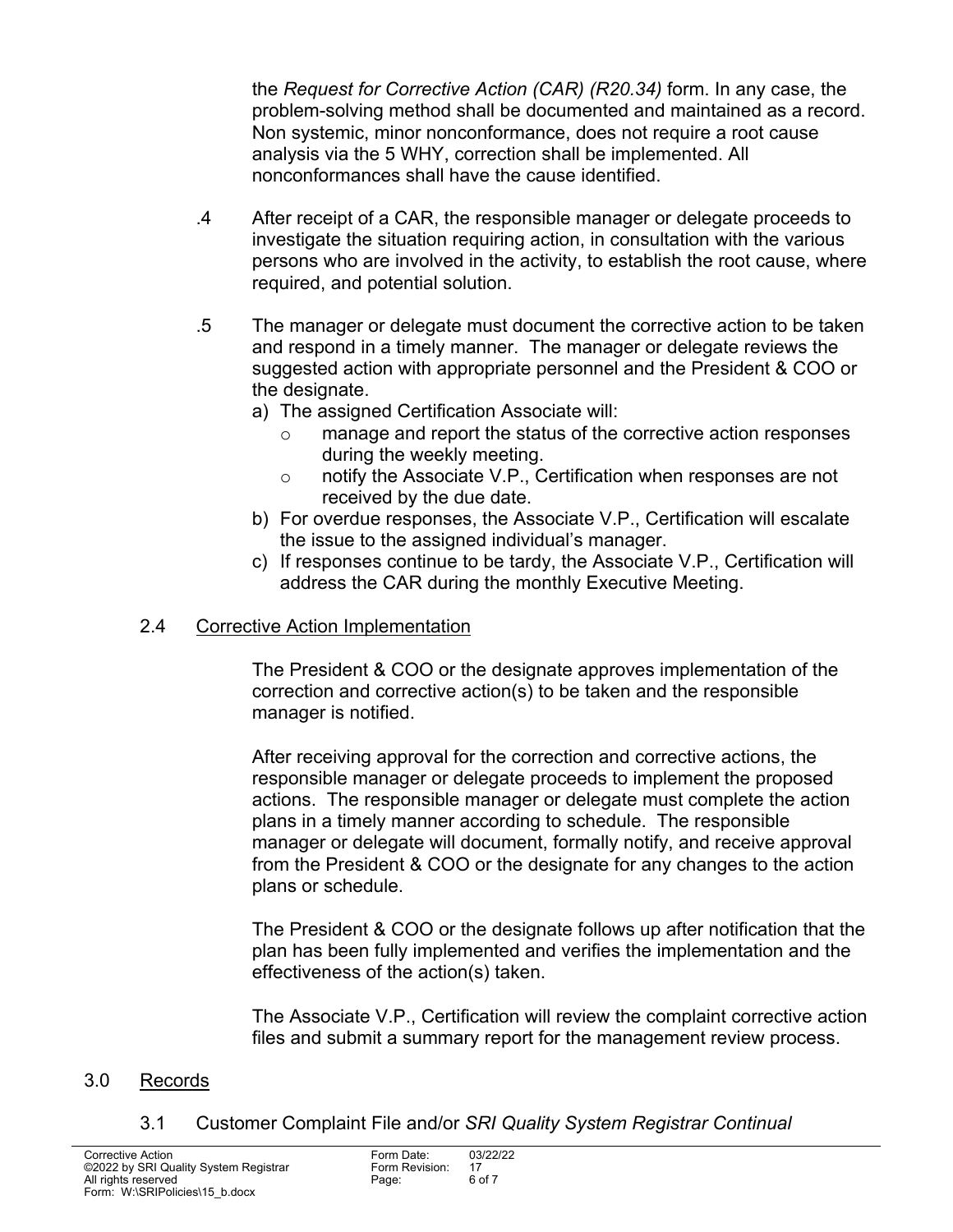the *Request for Corrective Action (CAR) (R20.34)* form. In any case, the problem-solving method shall be documented and maintained as a record. Non systemic, minor nonconformance, does not require a root cause analysis via the 5 WHY, correction shall be implemented. All nonconformances shall have the cause identified.

- .4 After receipt of a CAR, the responsible manager or delegate proceeds to investigate the situation requiring action, in consultation with the various persons who are involved in the activity, to establish the root cause, where required, and potential solution.
- .5 The manager or delegate must document the corrective action to be taken and respond in a timely manner. The manager or delegate reviews the suggested action with appropriate personnel and the President & COO or the designate.
	- a) The assigned Certification Associate will:
		- o manage and report the status of the corrective action responses during the weekly meeting.
		- o notify the Associate V.P., Certification when responses are not received by the due date.
	- b) For overdue responses, the Associate V.P., Certification will escalate the issue to the assigned individual's manager.
	- c) If responses continue to be tardy, the Associate V.P., Certification will address the CAR during the monthly Executive Meeting.

# 2.4 Corrective Action Implementation

 The President & COO or the designate approves implementation of the correction and corrective action(s) to be taken and the responsible manager is notified.

 After receiving approval for the correction and corrective actions, the responsible manager or delegate proceeds to implement the proposed actions. The responsible manager or delegate must complete the action plans in a timely manner according to schedule. The responsible manager or delegate will document, formally notify, and receive approval from the President & COO or the designate for any changes to the action plans or schedule.

 The President & COO or the designate follows up after notification that the plan has been fully implemented and verifies the implementation and the effectiveness of the action(s) taken.

 The Associate V.P., Certification will review the complaint corrective action files and submit a summary report for the management review process.

# 3.0 Records

3.1 Customer Complaint File and/or *SRI Quality System Registrar Continual*